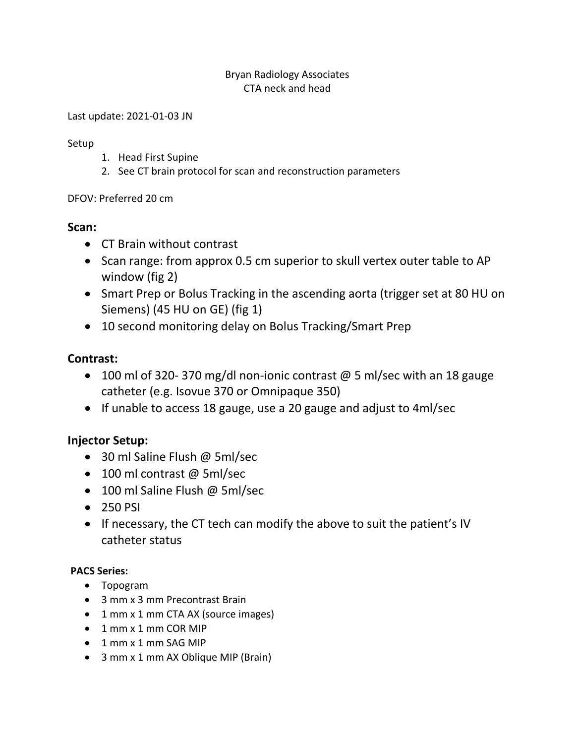#### Bryan Radiology Associates CTA neck and head

Last update: 2021-01-03 JN

#### Setup

- 1. Head First Supine
- 2. See CT brain protocol for scan and reconstruction parameters

### DFOV: Preferred 20 cm

# **Scan:**

- CT Brain without contrast
- Scan range: from approx 0.5 cm superior to skull vertex outer table to AP window (fig 2)
- Smart Prep or Bolus Tracking in the ascending aorta (trigger set at 80 HU on Siemens) (45 HU on GE) (fig 1)
- 10 second monitoring delay on Bolus Tracking/Smart Prep

## **Contrast:**

- $\bullet$  100 ml of 320-370 mg/dl non-ionic contrast @ 5 ml/sec with an 18 gauge catheter (e.g. Isovue 370 or Omnipaque 350)
- If unable to access 18 gauge, use a 20 gauge and adjust to 4ml/sec

# **Injector Setup:**

- 30 ml Saline Flush @ 5ml/sec
- 100 ml contrast @ 5ml/sec
- 100 ml Saline Flush @ 5ml/sec
- 250 PSI
- If necessary, the CT tech can modify the above to suit the patient's IV catheter status

### **PACS Series:**

- Topogram
- 3 mm x 3 mm Precontrast Brain
- 1 mm x 1 mm CTA AX (source images)
- $\bullet$  1 mm x 1 mm COR MIP
- $\bullet$  1 mm x 1 mm SAG MIP
- 3 mm x 1 mm AX Oblique MIP (Brain)